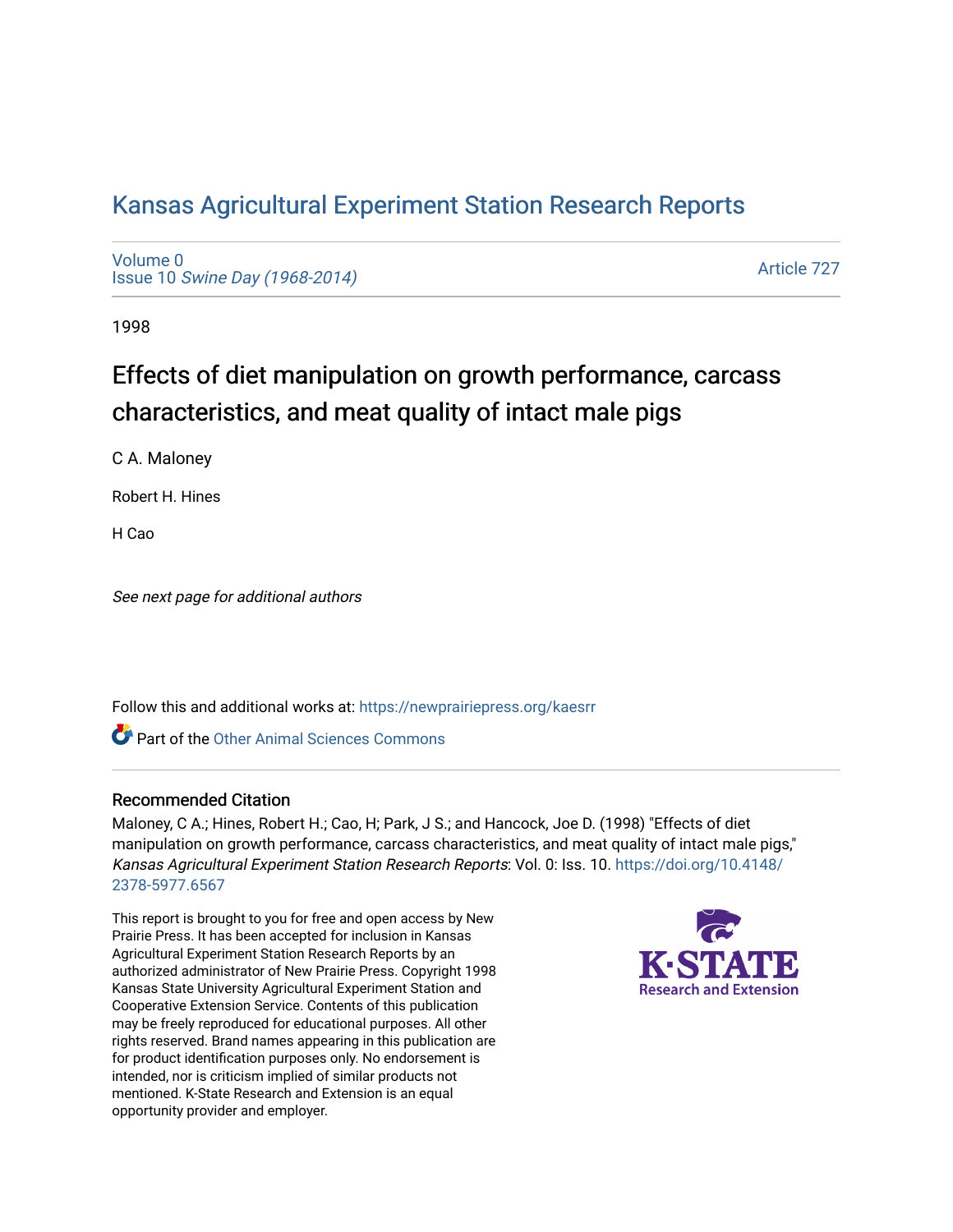## [Kansas Agricultural Experiment Station Research Reports](https://newprairiepress.org/kaesrr)

[Volume 0](https://newprairiepress.org/kaesrr/vol0) Issue 10 [Swine Day \(1968-2014\)](https://newprairiepress.org/kaesrr/vol0/iss10)

[Article 727](https://newprairiepress.org/kaesrr/vol0/iss10/727) 

1998

# Effects of diet manipulation on growth performance, carcass characteristics, and meat quality of intact male pigs

C A. Maloney

Robert H. Hines

H Cao

See next page for additional authors

Follow this and additional works at: [https://newprairiepress.org/kaesrr](https://newprairiepress.org/kaesrr?utm_source=newprairiepress.org%2Fkaesrr%2Fvol0%2Fiss10%2F727&utm_medium=PDF&utm_campaign=PDFCoverPages) 

**C** Part of the [Other Animal Sciences Commons](http://network.bepress.com/hgg/discipline/82?utm_source=newprairiepress.org%2Fkaesrr%2Fvol0%2Fiss10%2F727&utm_medium=PDF&utm_campaign=PDFCoverPages)

#### Recommended Citation

Maloney, C A.; Hines, Robert H.; Cao, H; Park, J S.; and Hancock, Joe D. (1998) "Effects of diet manipulation on growth performance, carcass characteristics, and meat quality of intact male pigs," Kansas Agricultural Experiment Station Research Reports: Vol. 0: Iss. 10. [https://doi.org/10.4148/](https://doi.org/10.4148/2378-5977.6567) [2378-5977.6567](https://doi.org/10.4148/2378-5977.6567) 

This report is brought to you for free and open access by New Prairie Press. It has been accepted for inclusion in Kansas Agricultural Experiment Station Research Reports by an authorized administrator of New Prairie Press. Copyright 1998 Kansas State University Agricultural Experiment Station and Cooperative Extension Service. Contents of this publication may be freely reproduced for educational purposes. All other rights reserved. Brand names appearing in this publication are for product identification purposes only. No endorsement is intended, nor is criticism implied of similar products not mentioned. K-State Research and Extension is an equal opportunity provider and employer.

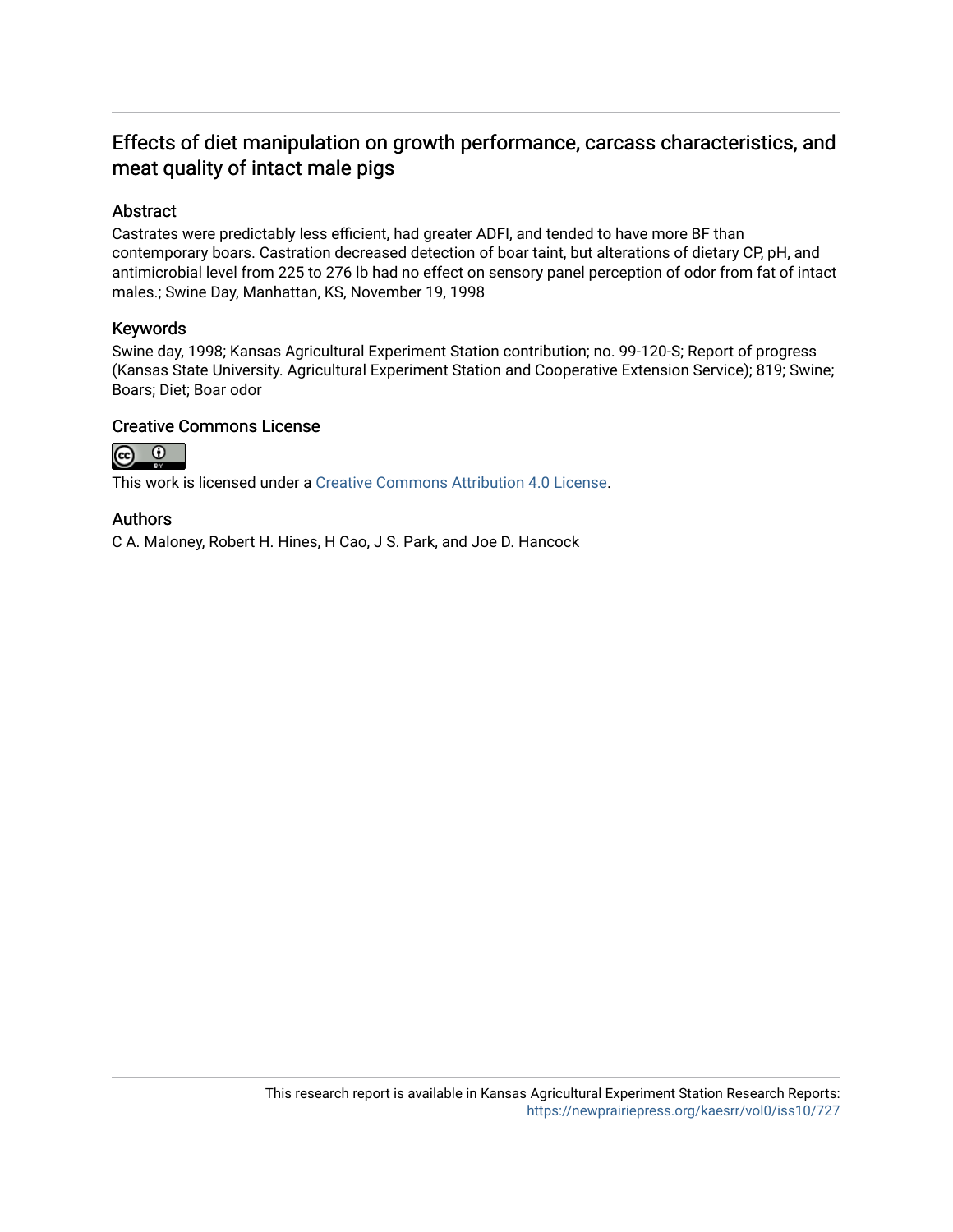## Effects of diet manipulation on growth performance, carcass characteristics, and meat quality of intact male pigs

#### Abstract

Castrates were predictably less efficient, had greater ADFI, and tended to have more BF than contemporary boars. Castration decreased detection of boar taint, but alterations of dietary CP, pH, and antimicrobial level from 225 to 276 lb had no effect on sensory panel perception of odor from fat of intact males.; Swine Day, Manhattan, KS, November 19, 1998

#### Keywords

Swine day, 1998; Kansas Agricultural Experiment Station contribution; no. 99-120-S; Report of progress (Kansas State University. Agricultural Experiment Station and Cooperative Extension Service); 819; Swine; Boars; Diet; Boar odor

#### Creative Commons License



This work is licensed under a [Creative Commons Attribution 4.0 License](https://creativecommons.org/licenses/by/4.0/).

#### Authors

C A. Maloney, Robert H. Hines, H Cao, J S. Park, and Joe D. Hancock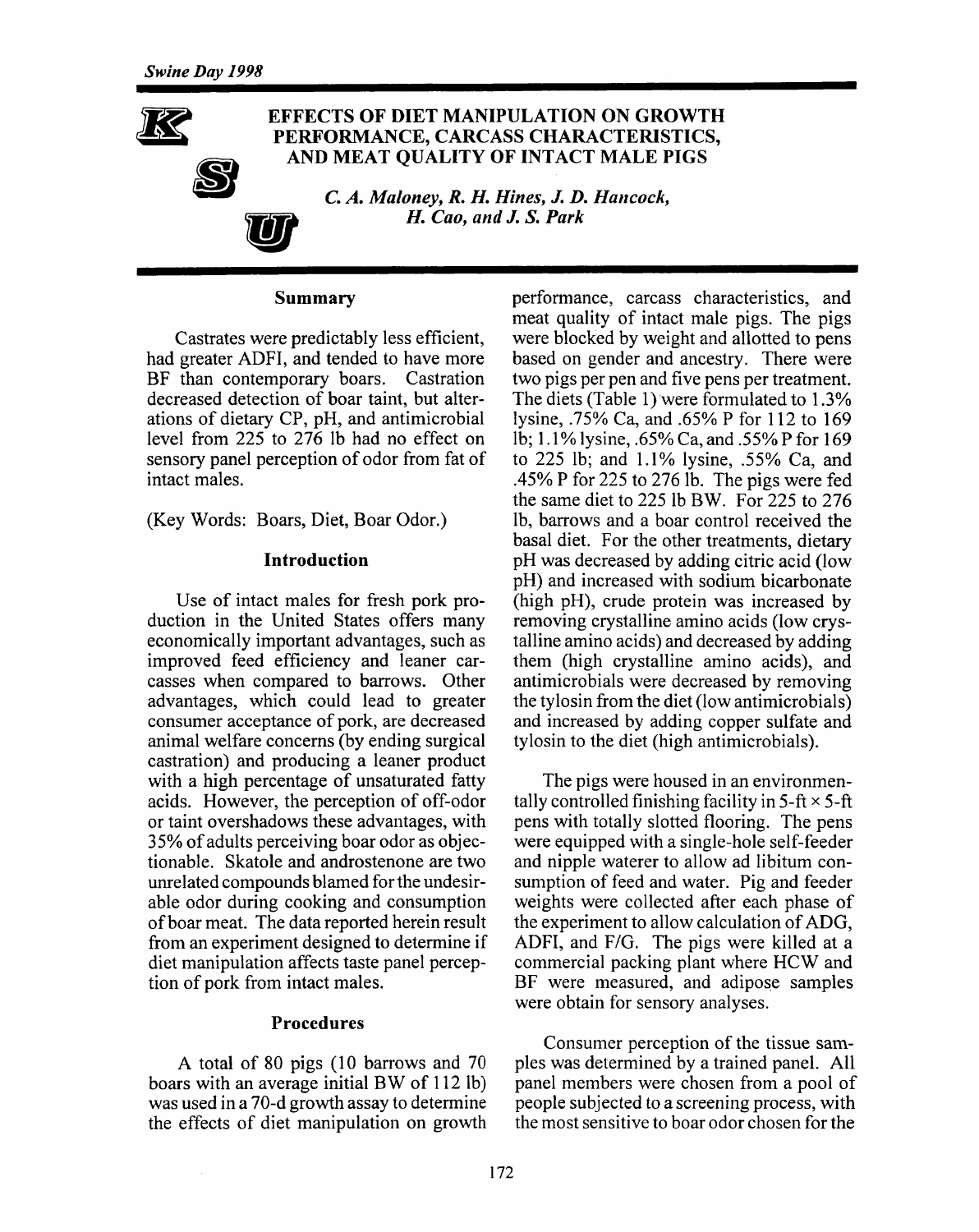

#### **Summary**

Castrates were predictably less efficient, had greater ADFI, and tended to have more BF than contemporary boars. Castration decreased detection of boar taint, but alterations of dietary CP, pH, and antimicrobial level from 225 to 276 lb had no effect on sensory panel perception of odor from fat of intact males.

(Key Words: Boars, Diet, Boar Odor.)

#### Introduction

Use of intact males for fresh pork production in the United States offers many economically important advantages, such as improved feed efficiency and leaner carcasses when compared to barrows. Other advantages, which could lead to greater consumer acceptance of pork, are decreased animal welfare concerns (by ending surgical castration) and producing a leaner product with a high percentage of unsaturated fatty acids. However, the perception of off-odor or taint overshadows these advantages, with 35% of adults perceiving boar odor as objectionable. Skatole and androstenone are two unrelated compounds blamed for the undesirable odor during cooking and consumption of boar meat. The data reported herein result from an experiment designed to determine if diet manipulation affects taste panel perception of pork from intact males.

#### **Procedures**

A total of 80 pigs (10 barrows and 70 boars with an average initial BW of 112 lb) was used in a 70-d growth assay to determine the effects of diet manipulation on growth

performance, carcass characteristics, and meat quality of intact male pigs. The pigs were blocked by weight and allotted to pens based on gender and ancestry. There were two pigs per pen and five pens per treatment. The diets (Table 1) were formulated to 1.3% lysine, .75% Ca, and .65% P for 112 to 169 lb; 1.1% lysine, .65% Ca, and .55% P for 169 to 225 lb; and 1.1% lysine, .55% Ca, and .45% P for 225 to 276 lb. The pigs were fed the same diet to 225 lb BW. For 225 to 276 Ib, barrows and a boar control received the basal diet. For the other treatments, dietary pH was decreased by adding citric acid (low pH) and increased with sodium bicarbonate (high pH), crude protein was increased by removing crystalline amino acids (low crystalline amino acids) and decreased by adding them (high crystalline amino acids), and antimicrobials were decreased by removing the tylosin from the diet (low antimicrobials) and increased by adding copper sulfate and tylosin to the diet (high antimicrobials).

The pigs were housed in an environmentally controlled finishing facility in  $5$ -ft  $\times$  5-ft pens with totally slotted flooring. The pens were equipped with a single-hole self-feeder and nipple waterer to allow ad libitum consumption of feed and water. Pig and feeder weights were collected after each phase of the experiment to allow calculation of ADG, ADFI, and F/G. The pigs were killed at a commercial packing plant where HCW and BF were measured, and adipose samples were obtain for sensory analyses.

Consumer perception of the tissue samples was determined by a trained panel. All panel members were chosen from a pool of people subjected to a screening process, with the most sensitive to boar odor chosen for the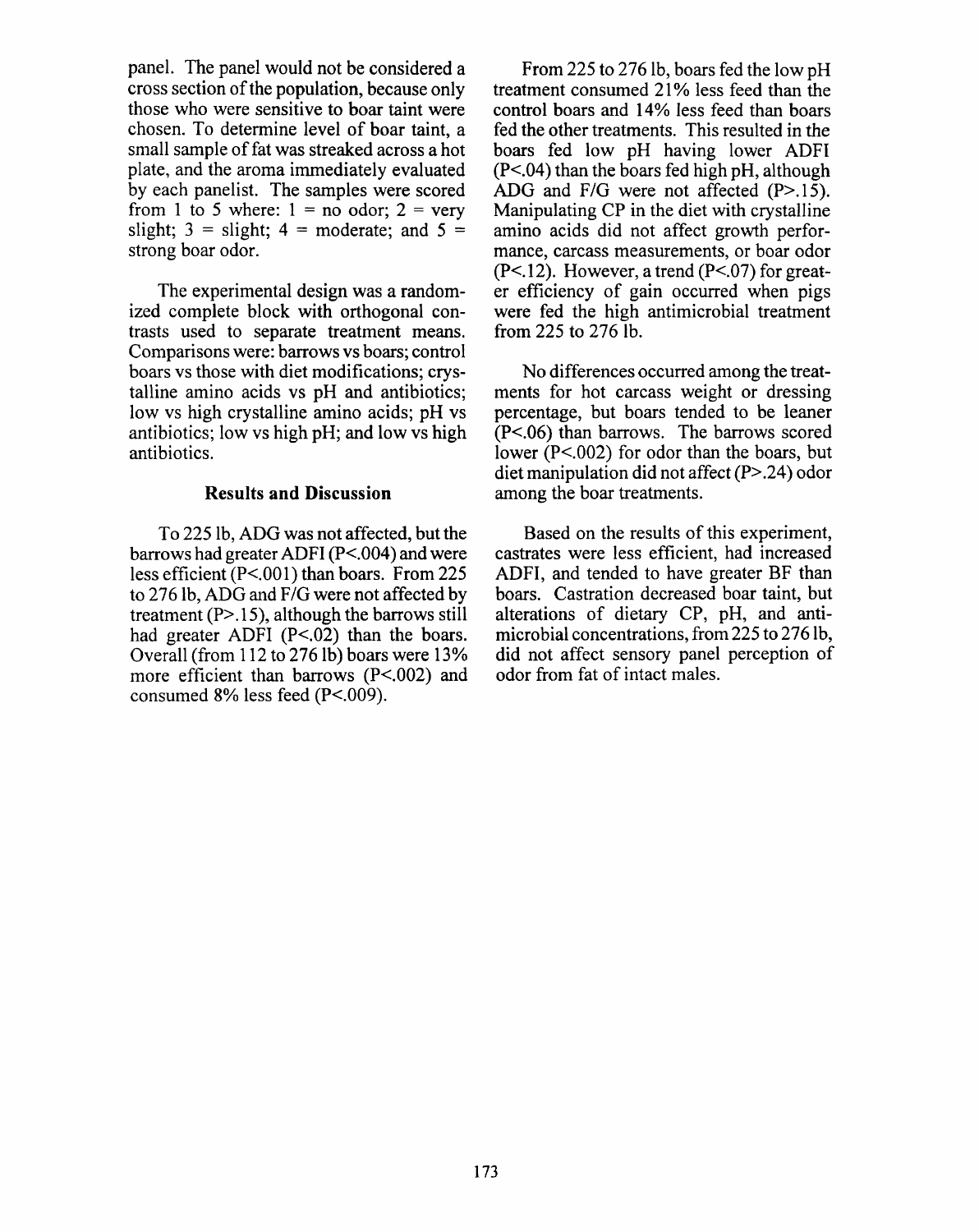panel. The panel would not be considered a cross section of the population, because only those who were sensitive to boar taint were chosen. To determine level of boar taint, a small sample of fat was streaked across a hot plate, and the aroma immediately evaluated by each panelist. The samples were scored from 1 to 5 where:  $1 = no$  odor;  $2 = very$ slight;  $3 =$  slight;  $4 =$  moderate; and  $5 =$ strong boar odor.

The experimental design was a randomized complete block with orthogonal contrasts used to separate treatment means. Comparisons were: barrows vs boars; control boars vs those with diet modifications; crystalline amino acids vs pH and antibiotics; low vs high crystalline amino acids; pH vs antibiotics; low vs high pH; and low vs high antibiotics.

#### **Results and Discussion**

To 225 lb. ADG was not affected, but the barrows had greater ADFI (P<.004) and were less efficient  $(P<.001)$  than boars. From 225 to 276 lb, ADG and F/G were not affected by treatment  $(P>15)$ , although the barrows still had greater ADFI  $(P<.02)$  than the boars. Overall (from 112 to 276 lb) boars were 13% more efficient than barrows  $(P<.002)$  and consumed 8% less feed (P<.009).

From 225 to 276 lb, boars fed the low pH treatment consumed 21% less feed than the control boars and 14% less feed than boars fed the other treatments. This resulted in the boars fed low pH having lower ADFI  $(P<.04)$  than the boars fed high pH, although ADG and  $F/G$  were not affected  $(P>15)$ . Manipulating CP in the diet with crystalline amino acids did not affect growth performance, carcass measurements, or boar odor  $(P<.12)$ . However, a trend  $(P<.07)$  for greater efficiency of gain occurred when pigs were fed the high antimicrobial treatment from 225 to 276 lb.

No differences occurred among the treatments for hot carcass weight or dressing percentage, but boars tended to be leaner  $(P<.06)$  than barrows. The barrows scored lower  $(P<.002)$  for odor than the boars, but diet manipulation did not affect  $(P > .24)$  odor among the boar treatments.

Based on the results of this experiment, castrates were less efficient, had increased ADFI, and tended to have greater BF than boars. Castration decreased boar taint, but alterations of dietary CP, pH, and antimicrobial concentrations, from 225 to 276 lb, did not affect sensory panel perception of odor from fat of intact males.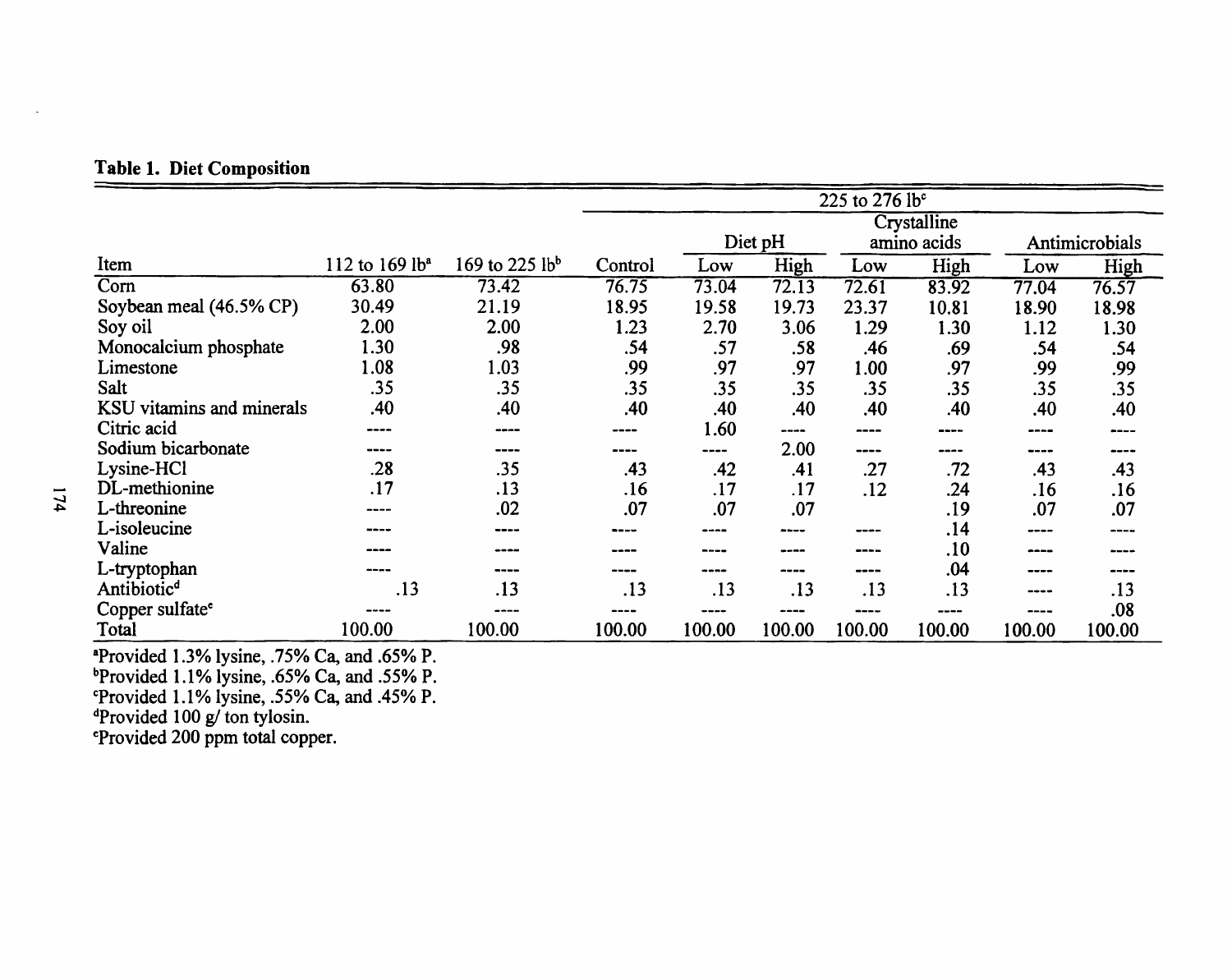### **Table 1. Diet Composition**

|                             |                            |                |         | 225 to 276 lb <sup>c</sup> |        |             |                           |                |        |
|-----------------------------|----------------------------|----------------|---------|----------------------------|--------|-------------|---------------------------|----------------|--------|
|                             |                            |                |         | Crystalline                |        |             |                           |                |        |
|                             |                            |                |         | Diet pH                    |        | amino acids |                           | Antimicrobials |        |
| Item                        | 112 to 169 lb <sup>a</sup> | 169 to 225 lbb | Control | Low                        | High   | Low         | High                      | Low            | High   |
| Com                         | 63.80                      | 73.42          | 76.75   | 73.04                      | 72.13  | 72.61       | 83.92                     | 77.04          | 76.57  |
| Soybean meal (46.5% CP)     | 30.49                      | 21.19          | 18.95   | 19.58                      | 19.73  | 23.37       | 10.81                     | 18.90          | 18.98  |
| Soy oil                     | 2.00                       | 2.00           | 1.23    | 2.70                       | 3.06   | 1.29        | 1.30                      | 1.12           | 1.30   |
| Monocalcium phosphate       | 1.30                       | .98            | .54     | .57                        | .58    | .46         | .69                       | .54            | .54    |
| Limestone                   | 1.08                       | 1.03           | .99     | .97                        | .97    | 1.00        | .97                       | .99            | .99    |
| Salt                        | .35                        | .35            | .35     | .35                        | .35    | .35         | .35                       | .35            | .35    |
| KSU vitamins and minerals   | .40                        | .40            | .40     | .40                        | .40    | .40         | .40                       | .40            | .40    |
| Citric acid                 | ----                       |                |         | 1.60                       | ----   | ----        |                           | ----           |        |
| Sodium bicarbonate          | ----                       | ----           | ----    | ----                       | 2.00   | ----        | ----                      | ----           | ----   |
| Lysine-HCl                  | .28                        | .35            | .43     | .42                        | .41    | .27         | .72                       | .43            | .43    |
| DL-methionine               | .17                        | .13            | .16     | .17                        | .17    | .12         | .24                       | .16            | .16    |
| L-threonine                 | ----                       | .02            | .07     | .07                        | .07    |             | .19                       | .07            | .07    |
| L-isoleucine                |                            |                |         |                            |        | ----        | .14                       | ----           |        |
| Valine                      |                            |                | ----    | ----                       | ----   | ----        | .10                       | ----           |        |
| L-tryptophan                |                            | ----           |         | ----                       | ----   | ----        | .04                       | ----           | ----   |
| Antibiotic <sup>d</sup>     | .13                        | .13            | .13     | .13                        | .13    | .13         | .13                       | ----           | .13    |
| Copper sulfate <sup>e</sup> | ----                       |                |         | ----                       |        | ----        | $\qquad \qquad -\qquad -$ | ----           | .08    |
| Total                       | 100.00                     | 100.00         | 100.00  | 100.00                     | 100.00 | 100.00      | 100.00                    | 100.00         | 100.00 |

 $174$ 

"Provided 1.3% lysine, .75% Ca, and .65% P.<br>"Provided 1.1% lysine, .65% Ca, and .55% P.<br>"Provided 1.1% lysine, .55% Ca, and .45% P.<br>"Provided 100 g/ ton tylosin.<br>"Provided 200 ppm total copper.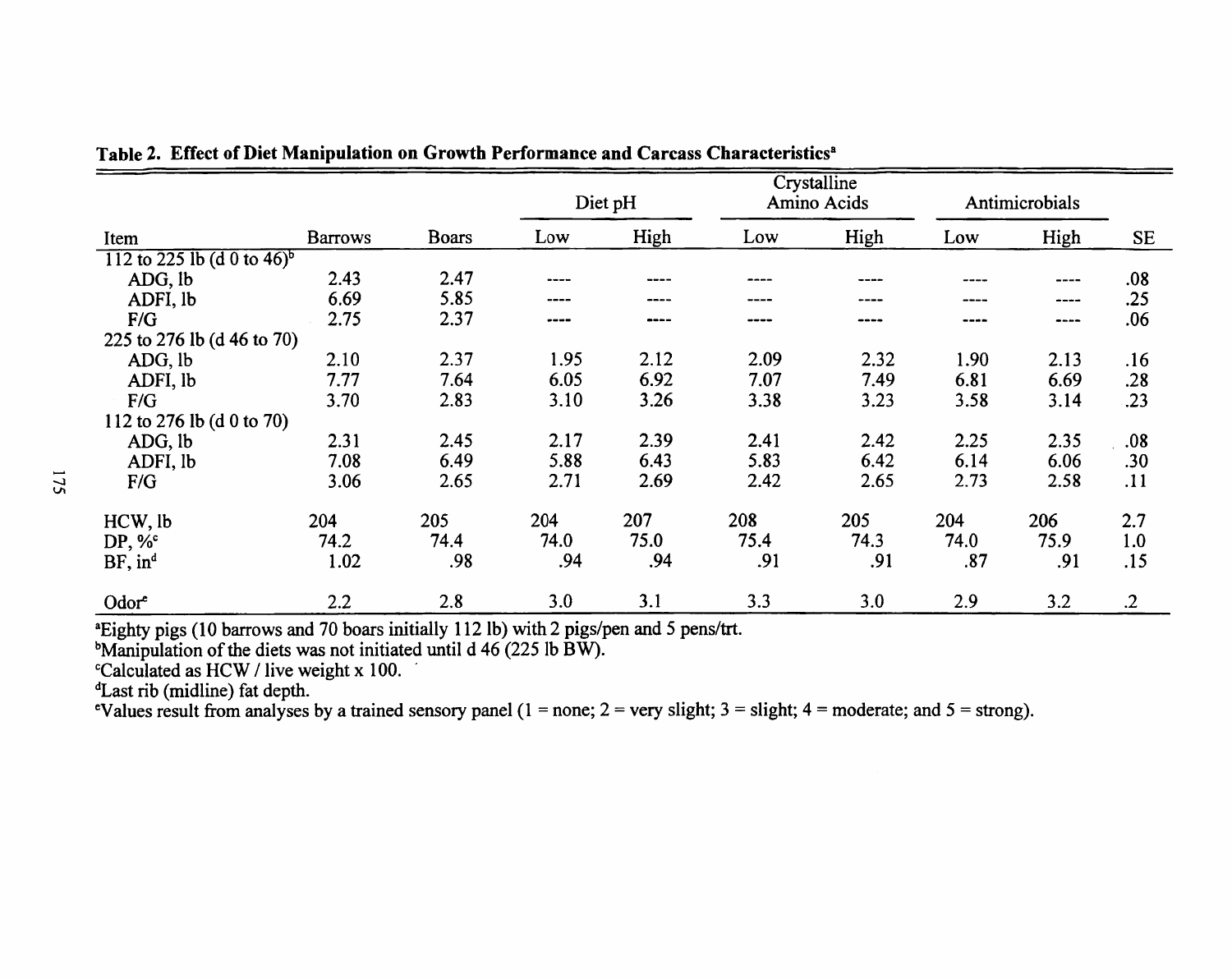|                                        |                |              | Diet pH |      | Crystalline<br>Amino Acids |      | Antimicrobials |      |            |
|----------------------------------------|----------------|--------------|---------|------|----------------------------|------|----------------|------|------------|
| Item                                   | <b>Barrows</b> | <b>Boars</b> | Low     | High | Low                        | High | Low            | High | <b>SE</b>  |
| 112 to 225 lb (d 0 to 46) <sup>b</sup> |                |              |         |      |                            |      |                |      |            |
| ADG, lb                                | 2.43           | 2.47         |         |      | ----                       |      |                | ---- | .08        |
| ADFI, lb                               | 6.69           | 5.85         | ----    |      |                            | ---- | ----           | ---- | .25        |
| F/G                                    | 2.75           | 2.37         | ----    | ---- | ----                       | ---- | ----           | ---- | .06        |
| 225 to 276 lb (d 46 to 70)             |                |              |         |      |                            |      |                |      |            |
| ADG, lb                                | 2.10           | 2.37         | 1.95    | 2.12 | 2.09                       | 2.32 | 1.90           | 2.13 | .16        |
| ADFI, lb                               | 7.77           | 7.64         | 6.05    | 6.92 | 7.07                       | 7.49 | 6.81           | 6.69 | .28        |
| F/G                                    | 3.70           | 2.83         | 3.10    | 3.26 | 3.38                       | 3.23 | 3.58           | 3.14 | .23        |
| 112 to 276 lb (d 0 to 70)              |                |              |         |      |                            |      |                |      |            |
| ADG, lb                                | 2.31           | 2.45         | 2.17    | 2.39 | 2.41                       | 2.42 | 2.25           | 2.35 | .08        |
| ADFI, lb                               | 7.08           | 6.49         | 5.88    | 6.43 | 5.83                       | 6.42 | 6.14           | 6.06 | .30        |
| F/G                                    | 3.06           | 2.65         | 2.71    | 2.69 | 2.42                       | 2.65 | 2.73           | 2.58 | .11        |
| HCW, lb                                | 204            | 205          | 204     | 207  | 208                        | 205  | 204            | 206  | 2.7        |
| DP, $\%^c$                             | 74.2           | 74.4         | 74.0    | 75.0 | 75.4                       | 74.3 | 74.0           | 75.9 | 1.0        |
| $BF$ , in <sup>d</sup>                 | 1.02           | .98          | .94     | .94  | .91                        | .91  | .87            | .91  | .15        |
| Odore                                  | 2.2            | 2.8          | 3.0     | 3.1  | 3.3                        | 3.0  | 2.9            | 3.2  | $\cdot$ .2 |

Table 2. Effect of Diet Manipulation on Growth Performance and Carcass Characteristics<sup>a</sup>

<sup>a</sup>Eighty pigs (10 barrows and 70 boars initially 112 lb) with 2 pigs/pen and 5 pens/trt.<br><sup>b</sup>Manipulation of the diets was not initiated until d 46 (225 lb BW).<br><sup>c</sup>Calculated as HCW / live weight x 100.

denoting the set of the set of the set of the set of the set of the set of the set of the set of the set of the set of the set of the set of the set of the set of the set of the set of the set of the set of the set of the